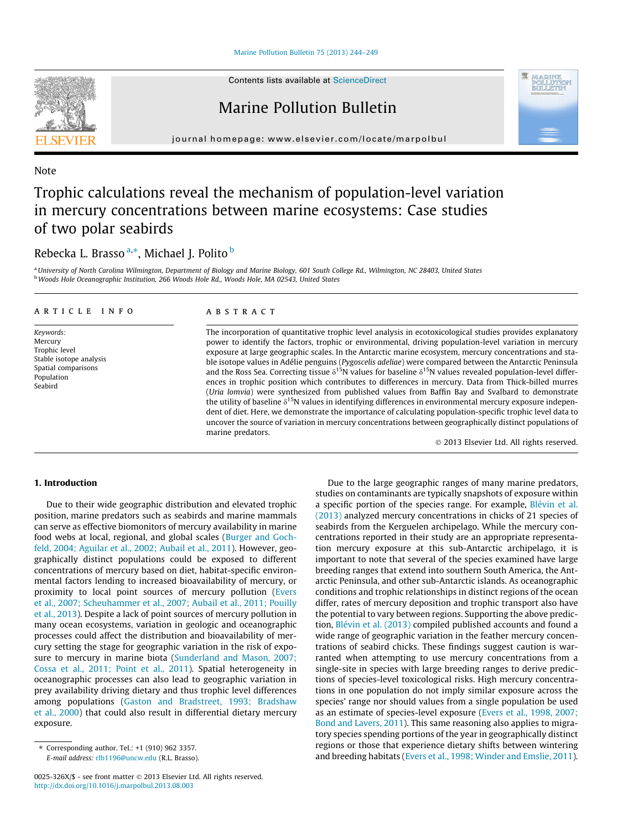[Marine Pollution Bulletin 75 \(2013\) 244–249](http://dx.doi.org/10.1016/j.marpolbul.2013.08.003)

Contents lists available at [ScienceDirect](http://www.sciencedirect.com/science/journal/0025326X)

Marine Pollution Bulletin

journal homepage: [www.elsevier.com/locate/marpolbul](http://www.elsevier.com/locate/marpolbul)

# Trophic calculations reveal the mechanism of population-level variation in mercury concentrations between marine ecosystems: Case studies of two polar seabirds

## Rebecka L. Brasso <sup>a,</sup>\*, Michael J. Polito <sup>b</sup>

a University of North Carolina Wilmington, Department of Biology and Marine Biology, 601 South College Rd., Wilmington, NC 28403, United States b Woods Hole Oceanographic Institution, 266 Woods Hole Rd., Woods Hole, MA 02543, United States

### article info

Keywords: Mercury Trophic level Stable isotope analysis Spatial comparisons Population Seabird

### **ABSTRACT**

The incorporation of quantitative trophic level analysis in ecotoxicological studies provides explanatory power to identify the factors, trophic or environmental, driving population-level variation in mercury exposure at large geographic scales. In the Antarctic marine ecosystem, mercury concentrations and stable isotope values in Adélie penguins (Pygoscelis adeliae) were compared between the Antarctic Peninsula and the Ross Sea. Correcting tissue  $\delta^{15}N$  values for baseline  $\delta^{15}N$  values revealed population-level differences in trophic position which contributes to differences in mercury. Data from Thick-billed murres (Uria lomvia) were synthesized from published values from Baffin Bay and Svalbard to demonstrate the utility of baseline  $\delta^{15}N$  values in identifying differences in environmental mercury exposure independent of diet. Here, we demonstrate the importance of calculating population-specific trophic level data to uncover the source of variation in mercury concentrations between geographically distinct populations of marine predators.

- 2013 Elsevier Ltd. All rights reserved.

### 1. Introduction

Due to their wide geographic distribution and elevated trophic position, marine predators such as seabirds and marine mammals can serve as effective biomonitors of mercury availability in marine food webs at local, regional, and global scales ([Burger and Goch](#page-4-0)[feld, 2004; Aguilar et al., 2002; Aubail et al., 2011](#page-4-0)). However, geographically distinct populations could be exposed to different concentrations of mercury based on diet, habitat-specific environmental factors lending to increased bioavailability of mercury, or proximity to local point sources of mercury pollution ([Evers](#page-5-0) [et al., 2007; Scheuhammer et al., 2007; Aubail et al., 2011; Pouilly](#page-5-0) [et al., 2013\)](#page-5-0). Despite a lack of point sources of mercury pollution in many ocean ecosystems, variation in geologic and oceanographic processes could affect the distribution and bioavailability of mercury setting the stage for geographic variation in the risk of exposure to mercury in marine biota ([Sunderland and Mason, 2007;](#page-5-0) [Cossa et al., 2011; Point et al., 2011](#page-5-0)). Spatial heterogeneity in oceanographic processes can also lead to geographic variation in prey availability driving dietary and thus trophic level differences among populations ([Gaston and Bradstreet, 1993; Bradshaw](#page-5-0) [et al., 2000\)](#page-5-0) that could also result in differential dietary mercury exposure.

Due to the large geographic ranges of many marine predators, studies on contaminants are typically snapshots of exposure within a specific portion of the species range. For example, [Blévin et al.](#page-4-0) [\(2013\)](#page-4-0) analyzed mercury concentrations in chicks of 21 species of seabirds from the Kerguelen archipelago. While the mercury concentrations reported in their study are an appropriate representation mercury exposure at this sub-Antarctic archipelago, it is important to note that several of the species examined have large breeding ranges that extend into southern South America, the Antarctic Peninsula, and other sub-Antarctic islands. As oceanographic conditions and trophic relationships in distinct regions of the ocean differ, rates of mercury deposition and trophic transport also have the potential to vary between regions. Supporting the above prediction, [Blévin et al. \(2013\)](#page-4-0) compiled published accounts and found a wide range of geographic variation in the feather mercury concentrations of seabird chicks. These findings suggest caution is warranted when attempting to use mercury concentrations from a single-site in species with large breeding ranges to derive predictions of species-level toxicological risks. High mercury concentrations in one population do not imply similar exposure across the species' range nor should values from a single population be used as an estimate of species-level exposure ([Evers et al., 1998, 2007;](#page-5-0) [Bond and Lavers, 2011](#page-5-0)). This same reasoning also applies to migratory species spending portions of the year in geographically distinct regions or those that experience dietary shifts between wintering and breeding habitats ([Evers et al., 1998; Winder and Emslie, 2011\)](#page-5-0).



Note



<sup>⇑</sup> Corresponding author. Tel.: +1 (910) 962 3357. E-mail address: [rlb1196@uncw.edu](mailto:rlb1196@uncw.edu) (R.L. Brasso).

<sup>0025-326</sup>X/\$ - see front matter © 2013 Elsevier Ltd. All rights reserved. <http://dx.doi.org/10.1016/j.marpolbul.2013.08.003>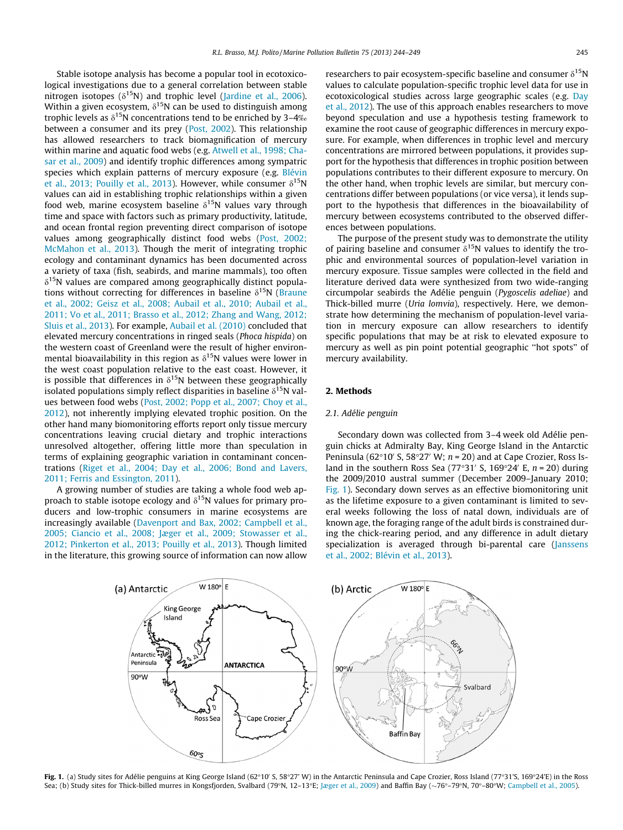<span id="page-1-0"></span>Stable isotope analysis has become a popular tool in ecotoxicological investigations due to a general correlation between stable nitrogen isotopes ( $\delta^{15}N$ ) and trophic level ([Jardine et al., 2006\)](#page-5-0). Within a given ecosystem,  $\delta^{15}N$  can be used to distinguish among trophic levels as  $\delta^{15}N$  concentrations tend to be enriched by 3–4‰ between a consumer and its prey ([Post, 2002\)](#page-5-0). This relationship has allowed researchers to track biomagnification of mercury within marine and aquatic food webs (e.g. [Atwell et al., 1998; Cha](#page-4-0)[sar et al., 2009\)](#page-4-0) and identify trophic differences among sympatric species which explain patterns of mercury exposure (e.g. [Blévin](#page-4-0) [et al., 2013; Pouilly et al., 2013\)](#page-4-0). However, while consumer  $\delta^{15}N$ values can aid in establishing trophic relationships within a given food web, marine ecosystem baseline  $\delta^{15}N$  values vary through time and space with factors such as primary productivity, latitude, and ocean frontal region preventing direct comparison of isotope values among geographically distinct food webs [\(Post, 2002;](#page-5-0) [McMahon et al., 2013\)](#page-5-0). Though the merit of integrating trophic ecology and contaminant dynamics has been documented across a variety of taxa (fish, seabirds, and marine mammals), too often  $\delta^{15}$ N values are compared among geographically distinct populations without correcting for differences in baseline  $\delta^{15}N$  ([Braune](#page-4-0) [et al., 2002; Geisz et al., 2008; Aubail et al., 2010; Aubail et al.,](#page-4-0) [2011; Vo et al., 2011; Brasso et al., 2012; Zhang and Wang, 2012;](#page-4-0) [Sluis et al., 2013](#page-4-0)). For example, [Aubail et al. \(2010\)](#page-4-0) concluded that elevated mercury concentrations in ringed seals (Phoca hispida) on the western coast of Greenland were the result of higher environmental bioavailability in this region as  $\delta^{15}$ N values were lower in the west coast population relative to the east coast. However, it is possible that differences in  $\delta^{15}N$  between these geographically isolated populations simply reflect disparities in baseline  $\delta^{15}N$  values between food webs ([Post, 2002; Popp et al., 2007; Choy et al.,](#page-5-0) [2012\)](#page-5-0), not inherently implying elevated trophic position. On the other hand many biomonitoring efforts report only tissue mercury concentrations leaving crucial dietary and trophic interactions unresolved altogether, offering little more than speculation in terms of explaining geographic variation in contaminant concentrations [\(Riget et al., 2004; Day et al., 2006; Bond and Lavers,](#page-5-0) [2011; Ferris and Essington, 2011](#page-5-0)).

A growing number of studies are taking a whole food web approach to stable isotope ecology and  $\delta^{15}N$  values for primary producers and low-trophic consumers in marine ecosystems are increasingly available ([Davenport and Bax, 2002; Campbell et al.,](#page-4-0) [2005; Ciancio et al., 2008; Jæger et al., 2009; Stowasser et al.,](#page-4-0) [2012; Pinkerton et al., 2013; Pouilly et al., 2013](#page-4-0)). Though limited in the literature, this growing source of information can now allow researchers to pair ecosystem-specific baseline and consumer  $\delta^{15}N$ values to calculate population-specific trophic level data for use in ecotoxicological studies across large geographic scales (e.g. [Day](#page-5-0) [et al., 2012](#page-5-0)). The use of this approach enables researchers to move beyond speculation and use a hypothesis testing framework to examine the root cause of geographic differences in mercury exposure. For example, when differences in trophic level and mercury concentrations are mirrored between populations, it provides support for the hypothesis that differences in trophic position between populations contributes to their different exposure to mercury. On the other hand, when trophic levels are similar, but mercury concentrations differ between populations (or vice versa), it lends support to the hypothesis that differences in the bioavailability of mercury between ecosystems contributed to the observed differences between populations.

The purpose of the present study was to demonstrate the utility of pairing baseline and consumer  $\delta^{15}N$  values to identify the trophic and environmental sources of population-level variation in mercury exposure. Tissue samples were collected in the field and literature derived data were synthesized from two wide-ranging circumpolar seabirds the Adélie penguin (Pygoscelis adeliae) and Thick-billed murre (Uria lomvia), respectively. Here, we demonstrate how determining the mechanism of population-level variation in mercury exposure can allow researchers to identify specific populations that may be at risk to elevated exposure to mercury as well as pin point potential geographic ''hot spots'' of mercury availability.

### 2. Methods

### 2.1. Adélie penguin

Secondary down was collected from 3–4 week old Adélie penguin chicks at Admiralty Bay, King George Island in the Antarctic Peninsula (62°10′ S, 58°27′ W;  $n = 20$ ) and at Cape Crozier, Ross Island in the southern Ross Sea (77°31′ S, 169°24′ E,  $n = 20$ ) during the 2009/2010 austral summer (December 2009–January 2010; Fig. 1). Secondary down serves as an effective biomonitoring unit as the lifetime exposure to a given contaminant is limited to several weeks following the loss of natal down, individuals are of known age, the foraging range of the adult birds is constrained during the chick-rearing period, and any difference in adult dietary specialization is averaged through bi-parental care ([Janssens](#page-5-0) [et al., 2002; Blévin et al., 2013](#page-5-0)).



Fig. 1. (a) Study sites for Adélie penguins at King George Island (62°10' S, 58°27' W) in the Antarctic Peninsula and Cape Crozier, Ross Island (77°31'S, 169°24'E) in the Ross Sea; (b) Study sites for Thick-billed murres in Kongsfjorden, Svalbard (79°N, 12–13°E; [Jæger et al., 2009\)](#page-5-0) and Baffin Bay (~76°–79°N, 70°–80°W; [Campbell et al., 2005](#page-4-0)).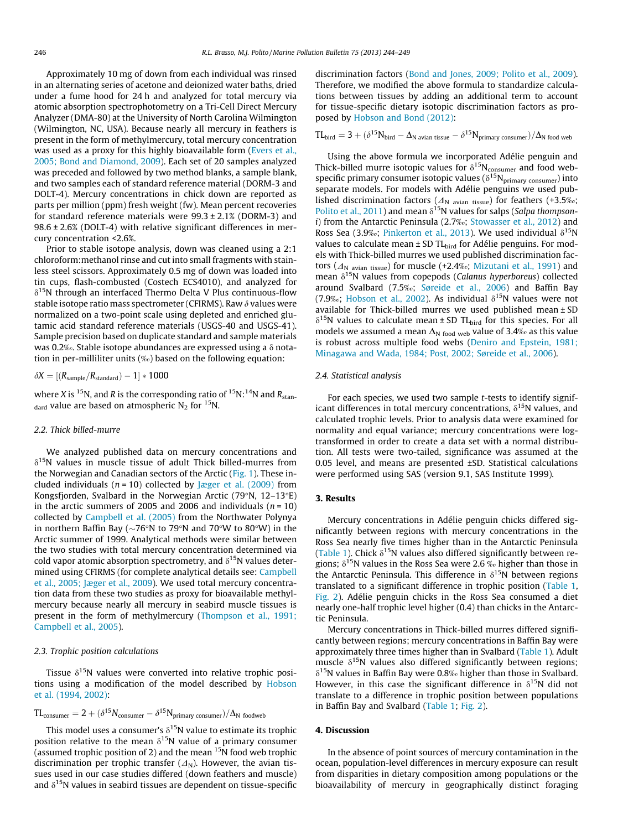Approximately 10 mg of down from each individual was rinsed in an alternating series of acetone and deionized water baths, dried under a fume hood for 24 h and analyzed for total mercury via atomic absorption spectrophotometry on a Tri-Cell Direct Mercury Analyzer (DMA-80) at the University of North Carolina Wilmington (Wilmington, NC, USA). Because nearly all mercury in feathers is present in the form of methylmercury, total mercury concentration was used as a proxy for this highly bioavailable form [\(Evers et al.,](#page-5-0) [2005; Bond and Diamond, 2009\)](#page-5-0). Each set of 20 samples analyzed was preceded and followed by two method blanks, a sample blank, and two samples each of standard reference material (DORM-3 and DOLT-4). Mercury concentrations in chick down are reported as parts per million (ppm) fresh weight (fw). Mean percent recoveries for standard reference materials were  $99.3 \pm 2.1\%$  (DORM-3) and  $98.6 \pm 2.6$ % (DOLT-4) with relative significant differences in mercury concentration <2.6%.

Prior to stable isotope analysis, down was cleaned using a 2:1 chloroform:methanol rinse and cut into small fragments with stainless steel scissors. Approximately 0.5 mg of down was loaded into tin cups, flash-combusted (Costech ECS4010), and analyzed for  $\delta^{15}$ N through an interfaced Thermo Delta V Plus continuous-flow stable isotope ratio mass spectrometer (CFIRMS). Raw  $\delta$  values were normalized on a two-point scale using depleted and enriched glutamic acid standard reference materials (USGS-40 and USGS-41). Sample precision based on duplicate standard and sample materials was 0.2‰. Stable isotope abundances are expressed using a  $\delta$  notation in per-milliliter units (‰) based on the following equation:

 $\delta X = [(R_{\text{sample}}/R_{\text{standard}}) - 1] * 1000$ 

where X is <sup>15</sup>N, and R is the corresponding ratio of <sup>15</sup>N:<sup>14</sup>N and R<sub>stan-</sub>  $_{\text{dard}}$  value are based on atmospheric N<sub>2</sub> for <sup>15</sup>N.

### 2.2. Thick billed-murre

We analyzed published data on mercury concentrations and  $\delta^{15}$ N values in muscle tissue of adult Thick billed-murres from the Norwegian and Canadian sectors of the Arctic ([Fig. 1](#page-1-0)). These included individuals ( $n = 10$ ) collected by [Jæger et al. \(2009\)](#page-5-0) from Kongsfjorden, Svalbard in the Norwegian Arctic (79 $\textdegree$ N, 12–13 $\textdegree$ E) in the arctic summers of 2005 and 2006 and individuals ( $n = 10$ ) collected by [Campbell et al. \(2005\)](#page-4-0) from the Northwater Polynya in northern Baffin Bay ( ${\sim}76^\circ$ N to 79°N and 70°W to 80°W) in the Arctic summer of 1999. Analytical methods were similar between the two studies with total mercury concentration determined via cold vapor atomic absorption spectrometry, and  $\delta^{15}N$  values determined using CFIRMS (for complete analytical details see: [Campbell](#page-4-0) [et al., 2005; Jæger et al., 2009\)](#page-4-0). We used total mercury concentration data from these two studies as proxy for bioavailable methylmercury because nearly all mercury in seabird muscle tissues is present in the form of methylmercury [\(Thompson et al., 1991;](#page-5-0) [Campbell et al., 2005\)](#page-5-0).

### 2.3. Trophic position calculations

Tissue  $\delta^{15}N$  values were converted into relative trophic positions using a modification of the model described by [Hobson](#page-5-0) [et al. \(1994, 2002\):](#page-5-0)

## $TL_{\text{consumer}} = 2 + (\delta^{15}N_{\text{consumer}} - \delta^{15}N_{\text{primary consumer}})/\Delta_N$  foodweb

This model uses a consumer's  $\delta^{15}N$  value to estimate its trophic position relative to the mean  $\delta^{15}N$  value of a primary consumer (assumed trophic position of 2) and the mean  $^{15}N$  food web trophic discrimination per trophic transfer  $(\Delta_N)$ . However, the avian tissues used in our case studies differed (down feathers and muscle) and  $\delta^{15}$ N values in seabird tissues are dependent on tissue-specific

discrimination factors [\(Bond and Jones, 2009; Polito et al., 2009\)](#page-4-0). Therefore, we modified the above formula to standardize calculations between tissues by adding an additional term to account for tissue-specific dietary isotopic discrimination factors as proposed by [Hobson and Bond \(2012\)](#page-5-0):

### $TL_{bird} = 3 + (\delta^{15}N_{bird} - \Delta_{N}$  avian tissue  $-\delta^{15}N_{primary \; consumer})/\Delta_{N \; food \; web}$

Using the above formula we incorporated Adélie penguin and Thick-billed murre isotopic values for  $\delta^{15}N_{\rm consumer}$  and food webspecific primary consumer isotopic values ( $\delta^{15}N_{\text{primary consumer}}$ ) into separate models. For models with Adélie penguins we used published discrimination factors ( $\Delta_N$  avian tissue) for feathers (+3.5‰; [Polito et al., 2011](#page-5-0)) and mean  $\delta^{15}$ N values for salps (Salpa thompsoni) from the Antarctic Peninsula (2.7‰; [Stowasser et al., 2012](#page-5-0)) and Ross Sea (3.9‰; [Pinkerton et al., 2013\)](#page-5-0). We used individual  $\delta^{15}N$ values to calculate mean  $\pm$  SD TL $_{\text{bird}}$  for Adélie penguins. For models with Thick-billed murres we used published discrimination factors ( $\Delta_{\text{N}}$  avian tissue) for muscle (+2.4‰; [Mizutani et al., 1991\)](#page-5-0) and mean  $\delta^{15}$ N values from copepods (Calanus hyperboreus) collected around Svalbard (7.5‰; [Søreide et al., 2006\)](#page-5-0) and Baffin Bay (7.9‰; [Hobson et al., 2002\)](#page-5-0). As individual  $\delta^{15}N$  values were not available for Thick-billed murres we used published mean  $\pm$  SD  $\delta^{15}$ N values to calculate mean ± SD TL<sub>bird</sub> for this species. For all models we assumed a mean  $\Delta_{\rm N\ food\ web}$  value of 3.4‰ as this value is robust across multiple food webs [\(Deniro and Epstein, 1981;](#page-5-0) [Minagawa and Wada, 1984; Post, 2002; Søreide et al., 2006\)](#page-5-0).

### 2.4. Statistical analysis

For each species, we used two sample t-tests to identify significant differences in total mercury concentrations,  $\delta^{15}N$  values, and calculated trophic levels. Prior to analysis data were examined for normality and equal variance; mercury concentrations were logtransformed in order to create a data set with a normal distribution. All tests were two-tailed, significance was assumed at the 0.05 level, and means are presented ±SD. Statistical calculations were performed using SAS (version 9.1, SAS Institute 1999).

### 3. Results

Mercury concentrations in Adélie penguin chicks differed significantly between regions with mercury concentrations in the Ross Sea nearly five times higher than in the Antarctic Peninsula ([Table 1](#page-3-0)). Chick  $\delta^{15}N$  values also differed significantly between regions;  $\delta^{15}$ N values in the Ross Sea were 2.6 % higher than those in the Antarctic Peninsula. This difference in  $\delta^{15}N$  between regions translated to a significant difference in trophic position ([Table 1,](#page-3-0) [Fig. 2](#page-3-0)). Adélie penguin chicks in the Ross Sea consumed a diet nearly one-half trophic level higher (0.4) than chicks in the Antarctic Peninsula.

Mercury concentrations in Thick-billed murres differed significantly between regions; mercury concentrations in Baffin Bay were approximately three times higher than in Svalbard ([Table 1\)](#page-3-0). Adult muscle  $\delta^{15}N$  values also differed significantly between regions;  $\delta^{15}$ N values in Baffin Bay were 0.8‰ higher than those in Svalbard. However, in this case the significant difference in  $\delta^{15}N$  did not translate to a difference in trophic position between populations in Baffin Bay and Svalbard ([Table 1](#page-3-0); [Fig. 2](#page-3-0)).

### 4. Discussion

In the absence of point sources of mercury contamination in the ocean, population-level differences in mercury exposure can result from disparities in dietary composition among populations or the bioavailability of mercury in geographically distinct foraging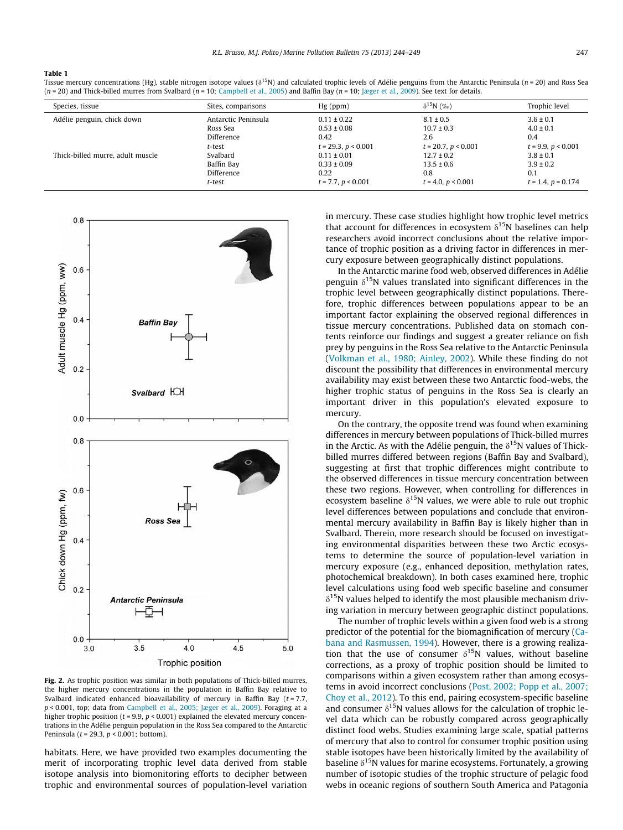#### <span id="page-3-0"></span>Table 1

Tissue mercury concentrations (Hg), stable nitrogen isotope values ( $\delta^{15}N$ ) and calculated trophic levels of Adélie penguins from the Antarctic Peninsula (n = 20) and Ross Sea  $(n = 20)$  and Thick-billed murres from Svalbard  $(n = 10;$  [Campbell et al., 2005](#page-4-0)) and Baffin Bay  $(n = 10;$  [Jæger et al., 2009\)](#page-5-0). See text for details.

| Species, tissue                  | Sites, comparisons  | $Hg$ (ppm)            | $\delta^{15}N$ (%e)   | Trophic level           |
|----------------------------------|---------------------|-----------------------|-----------------------|-------------------------|
| Adélie penguin, chick down       | Antarctic Peninsula | $0.11 \pm 0.22$       | $8.1 \pm 0.5$         | $3.6 \pm 0.1$           |
|                                  | Ross Sea            | $0.53 \pm 0.08$       | $10.7 \pm 0.3$        | $4.0 \pm 0.1$           |
|                                  | Difference          | 0.42                  | 2.6                   | 0.4                     |
|                                  | t-test              | $t = 29.3, p < 0.001$ | $t = 20.7, p < 0.001$ | $t = 9.9, p < 0.001$    |
| Thick-billed murre, adult muscle | Svalbard            | $0.11 \pm 0.01$       | $12.7 \pm 0.2$        | $3.8 \pm 0.1$           |
|                                  | Baffin Bay          | $0.33 \pm 0.09$       | $13.5 \pm 0.6$        | $3.9 \pm 0.2$           |
|                                  | Difference          | 0.22                  | 0.8                   | 0.1                     |
|                                  | t-test              | $t = 7.7, p < 0.001$  | $t = 4.0, p < 0.001$  | $t = 1.4$ , $p = 0.174$ |



Fig. 2. As trophic position was similar in both populations of Thick-billed murres, the higher mercury concentrations in the population in Baffin Bay relative to Svalbard indicated enhanced bioavailability of mercury in Baffin Bay  $(t = 7.7,$ p < 0.001, top; data from [Campbell et al., 2005; Jæger et al., 2009](#page-4-0)). Foraging at a higher trophic position ( $t = 9.9$ ,  $p < 0.001$ ) explained the elevated mercury concentrations in the Adélie penguin population in the Ross Sea compared to the Antarctic Peninsula ( $t = 29.3$ ,  $p < 0.001$ ; bottom).

habitats. Here, we have provided two examples documenting the merit of incorporating trophic level data derived from stable isotope analysis into biomonitoring efforts to decipher between trophic and environmental sources of population-level variation

in mercury. These case studies highlight how trophic level metrics that account for differences in ecosystem  $\delta^{15}N$  baselines can help researchers avoid incorrect conclusions about the relative importance of trophic position as a driving factor in differences in mercury exposure between geographically distinct populations.

In the Antarctic marine food web, observed differences in Adélie penguin  $\delta^{15}N$  values translated into significant differences in the trophic level between geographically distinct populations. Therefore, trophic differences between populations appear to be an important factor explaining the observed regional differences in tissue mercury concentrations. Published data on stomach contents reinforce our findings and suggest a greater reliance on fish prey by penguins in the Ross Sea relative to the Antarctic Peninsula ([Volkman et al., 1980; Ainley, 2002](#page-5-0)). While these finding do not discount the possibility that differences in environmental mercury availability may exist between these two Antarctic food-webs, the higher trophic status of penguins in the Ross Sea is clearly an important driver in this population's elevated exposure to mercury.

On the contrary, the opposite trend was found when examining differences in mercury between populations of Thick-billed murres in the Arctic. As with the Adélie penguin, the  $\delta^{15}N$  values of Thickbilled murres differed between regions (Baffin Bay and Svalbard), suggesting at first that trophic differences might contribute to the observed differences in tissue mercury concentration between these two regions. However, when controlling for differences in ecosystem baseline  $\delta^{15}N$  values, we were able to rule out trophic level differences between populations and conclude that environmental mercury availability in Baffin Bay is likely higher than in Svalbard. Therein, more research should be focused on investigating environmental disparities between these two Arctic ecosystems to determine the source of population-level variation in mercury exposure (e.g., enhanced deposition, methylation rates, photochemical breakdown). In both cases examined here, trophic level calculations using food web specific baseline and consumer  $\delta^{15}$ N values helped to identify the most plausible mechanism driving variation in mercury between geographic distinct populations.

The number of trophic levels within a given food web is a strong predictor of the potential for the biomagnification of mercury [\(Ca](#page-4-0)[bana and Rasmussen, 1994](#page-4-0)). However, there is a growing realization that the use of consumer  $\delta^{15}N$  values, without baseline corrections, as a proxy of trophic position should be limited to comparisons within a given ecosystem rather than among ecosystems in avoid incorrect conclusions ([Post, 2002; Popp et al., 2007;](#page-5-0) [Choy et al., 2012\)](#page-5-0). To this end, pairing ecosystem-specific baseline and consumer  $\delta^{15}N$  values allows for the calculation of trophic level data which can be robustly compared across geographically distinct food webs. Studies examining large scale, spatial patterns of mercury that also to control for consumer trophic position using stable isotopes have been historically limited by the availability of baseline  $\delta^{15}N$  values for marine ecosystems. Fortunately, a growing number of isotopic studies of the trophic structure of pelagic food webs in oceanic regions of southern South America and Patagonia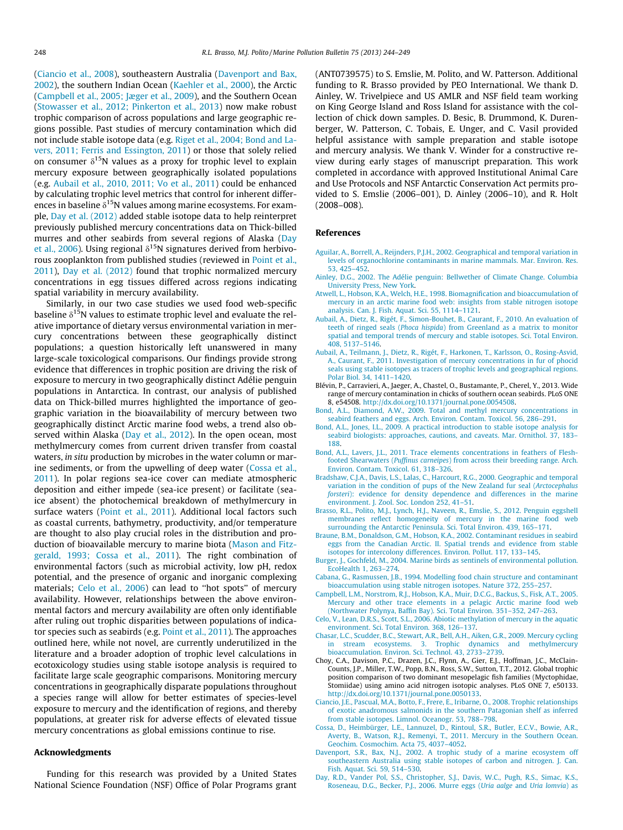<span id="page-4-0"></span>(Ciancio et al., 2008), southeastern Australia (Davenport and Bax, 2002), the southern Indian Ocean ([Kaehler et al., 2000](#page-5-0)), the Arctic (Campbell et al., 2005; Jæger et al., 2009), and the Southern Ocean ([Stowasser et al., 2012; Pinkerton et al., 2013\)](#page-5-0) now make robust trophic comparison of across populations and large geographic regions possible. Past studies of mercury contamination which did not include stable isotope data (e.g. [Riget et al., 2004; Bond and La](#page-5-0)[vers, 2011; Ferris and Essington, 2011\)](#page-5-0) or those that solely relied on consumer  $\delta^{15}N$  values as a proxy for trophic level to explain mercury exposure between geographically isolated populations (e.g. Aubail et al., 2010, 2011; Vo et al., 2011) could be enhanced by calculating trophic level metrics that control for inherent differences in baseline  $\delta^{15}$ N values among marine ecosystems. For example, [Day et al. \(2012\)](#page-5-0) added stable isotope data to help reinterpret previously published mercury concentrations data on Thick-billed murres and other seabirds from several regions of Alaska (Day et al., 2006). Using regional  $\delta^{15}N$  signatures derived from herbivorous zooplankton from published studies (reviewed in [Point et al.,](#page-5-0) [2011\)](#page-5-0), [Day et al. \(2012\)](#page-5-0) found that trophic normalized mercury concentrations in egg tissues differed across regions indicating spatial variability in mercury availability.

Similarly, in our two case studies we used food web-specific baseline  $\delta^{15}N$  values to estimate trophic level and evaluate the relative importance of dietary versus environmental variation in mercury concentrations between these geographically distinct populations; a question historically left unanswered in many large-scale toxicological comparisons. Our findings provide strong evidence that differences in trophic position are driving the risk of exposure to mercury in two geographically distinct Adélie penguin populations in Antarctica. In contrast, our analysis of published data on Thick-billed murres highlighted the importance of geographic variation in the bioavailability of mercury between two geographically distinct Arctic marine food webs, a trend also ob-served within Alaska ([Day et al., 2012](#page-5-0)). In the open ocean, most methylmercury comes from current driven transfer from coastal waters, in situ production by microbes in the water column or marine sediments, or from the upwelling of deep water (Cossa et al., 2011). In polar regions sea-ice cover can mediate atmospheric deposition and either impede (sea-ice present) or facilitate (seaice absent) the photochemical breakdown of methylmercury in surface waters ([Point et al., 2011\)](#page-5-0). Additional local factors such as coastal currents, bathymetry, productivity, and/or temperature are thought to also play crucial roles in the distribution and production of bioavailable mercury to marine biota [\(Mason and Fitz](#page-5-0)[gerald, 1993; Cossa et al., 2011\)](#page-5-0). The right combination of environmental factors (such as microbial activity, low pH, redox potential, and the presence of organic and inorganic complexing materials; Celo et al., 2006) can lead to "hot spots" of mercury availability. However, relationships between the above environmental factors and mercury availability are often only identifiable after ruling out trophic disparities between populations of indicator species such as seabirds (e.g. [Point et al., 2011](#page-5-0)). The approaches outlined here, while not novel, are currently underutilized in the literature and a broader adoption of trophic level calculations in ecotoxicology studies using stable isotope analysis is required to facilitate large scale geographic comparisons. Monitoring mercury concentrations in geographically disparate populations throughout a species range will allow for better estimates of species-level exposure to mercury and the identification of regions, and thereby populations, at greater risk for adverse effects of elevated tissue mercury concentrations as global emissions continue to rise.

### Acknowledgments

Funding for this research was provided by a United States National Science Foundation (NSF) Office of Polar Programs grant (ANT0739575) to S. Emslie, M. Polito, and W. Patterson. Additional funding to R. Brasso provided by PEO International. We thank D. Ainley, W. Trivelpiece and US AMLR and NSF field team working on King George Island and Ross Island for assistance with the collection of chick down samples. D. Besic, B. Drummond, K. Durenberger, W. Patterson, C. Tobais, E. Unger, and C. Vasil provided helpful assistance with sample preparation and stable isotope and mercury analysis. We thank V. Winder for a constructive review during early stages of manuscript preparation. This work completed in accordance with approved Institutional Animal Care and Use Protocols and NSF Antarctic Conservation Act permits provided to S. Emslie (2006–001), D. Ainley (2006–10), and R. Holt (2008–008).

### References

- [Aguilar, A., Borrell, A., Reijnders, P.J.H., 2002. Geographical and temporal variation in](http://refhub.elsevier.com/S0025-326X(13)00455-4/h0005) [levels of organochlorine contaminants in marine mammals. Mar. Environ. Res.](http://refhub.elsevier.com/S0025-326X(13)00455-4/h0005) [53, 425–452.](http://refhub.elsevier.com/S0025-326X(13)00455-4/h0005)
- [Ainley, D.G., 2002. The Adélie penguin: Bellwether of Climate Change. Columbia](http://refhub.elsevier.com/S0025-326X(13)00455-4/h0010) [University Press, New York](http://refhub.elsevier.com/S0025-326X(13)00455-4/h0010).
- [Atwell, L., Hobson, K.A., Welch, H.E., 1998. Biomagnification and bioaccumulation of](http://refhub.elsevier.com/S0025-326X(13)00455-4/h0015) [mercury in an arctic marine food web: insights from stable nitrogen isotope](http://refhub.elsevier.com/S0025-326X(13)00455-4/h0015)
- [analysis. Can. J. Fish. Aquat. Sci. 55, 1114–1121.](http://refhub.elsevier.com/S0025-326X(13)00455-4/h0015) [Aubail, A., Dietz, R., Rigét, F., Simon-Bouhet, B., Caurant, F., 2010. An evaluation of](http://refhub.elsevier.com/S0025-326X(13)00455-4/h0020) teeth of ringed seals (Phoca hispida[\) from Greenland as a matrix to monitor](http://refhub.elsevier.com/S0025-326X(13)00455-4/h0020) [spatial and temporal trends of mercury and stable isotopes. Sci. Total Environ.](http://refhub.elsevier.com/S0025-326X(13)00455-4/h0020) [408, 5137–5146](http://refhub.elsevier.com/S0025-326X(13)00455-4/h0020).
- [Aubail, A., Teilmann, J., Dietz, R., Rigét, F., Harkonen, T., Karlsson, O., Rosing-Asvid,](http://refhub.elsevier.com/S0025-326X(13)00455-4/h0025) [A., Caurant, F., 2011. Investigation of mercury concentrations in fur of phocid](http://refhub.elsevier.com/S0025-326X(13)00455-4/h0025) [seals using stable isotopes as tracers of trophic levels and geographical regions.](http://refhub.elsevier.com/S0025-326X(13)00455-4/h0025) [Polar Biol. 34, 1411–1420](http://refhub.elsevier.com/S0025-326X(13)00455-4/h0025).
- Blévin, P., Carravieri, A., Jaeger, A., Chastel, O., Bustamante, P., Cherel, Y., 2013. Wide range of mercury contamination in chicks of southern ocean seabirds. PLoS ONE 8, e54508. <http://dx.doi.org/10.1371/journal.pone.0054508>.
- [Bond, A.L., Diamond, A.W., 2009. Total and methyl mercury concentrations in](http://refhub.elsevier.com/S0025-326X(13)00455-4/h0035) [seabird feathers and eggs. Arch. Environ. Contam. Toxicol. 56, 286–291](http://refhub.elsevier.com/S0025-326X(13)00455-4/h0035).
- [Bond, A.L., Jones, I.L., 2009. A practical introduction to stable isotope analysis for](http://refhub.elsevier.com/S0025-326X(13)00455-4/h0040) [seabird biologists: approaches, cautions, and caveats. Mar. Ornithol. 37, 183–](http://refhub.elsevier.com/S0025-326X(13)00455-4/h0040) [188](http://refhub.elsevier.com/S0025-326X(13)00455-4/h0040).
- [Bond, A.L., Lavers, J.L., 2011. Trace elements concentrations in feathers of Flesh](http://refhub.elsevier.com/S0025-326X(13)00455-4/h0045)footed Shearwaters (Puffinus carneipes[\) from across their breeding range. Arch.](http://refhub.elsevier.com/S0025-326X(13)00455-4/h0045) [Environ. Contam. Toxicol. 61, 318–326](http://refhub.elsevier.com/S0025-326X(13)00455-4/h0045).
- [Bradshaw, C.J.A., Davis, L.S., Lalas, C., Harcourt, R.G., 2000. Geographic and temporal](http://refhub.elsevier.com/S0025-326X(13)00455-4/h0050) [variation in the condition of pups of the New Zealand fur seal \(](http://refhub.elsevier.com/S0025-326X(13)00455-4/h0050)Arctocephalus forsteri[\): evidence for density dependence and differences in the marine](http://refhub.elsevier.com/S0025-326X(13)00455-4/h0050) [environment. J. Zool. Soc. London 252, 41–51.](http://refhub.elsevier.com/S0025-326X(13)00455-4/h0050)
- [Brasso, R.L., Polito, M.J., Lynch, H.J., Naveen, R., Emslie, S., 2012. Penguin eggshell](http://refhub.elsevier.com/S0025-326X(13)00455-4/h0055) [membranes reflect homogeneity of mercury in the marine food web](http://refhub.elsevier.com/S0025-326X(13)00455-4/h0055) [surrounding the Antarctic Peninsula. Sci. Total Environ. 439, 165–171.](http://refhub.elsevier.com/S0025-326X(13)00455-4/h0055)
- [Braune, B.M., Donaldson, G.M., Hobson, K.A., 2002. Contaminant residues in seabird](http://refhub.elsevier.com/S0025-326X(13)00455-4/h0060) [eggs from the Canadian Arctic. II. Spatial trends and evidence from stable](http://refhub.elsevier.com/S0025-326X(13)00455-4/h0060) [isotopes for intercolony differences. Environ. Pollut. 117, 133–145](http://refhub.elsevier.com/S0025-326X(13)00455-4/h0060).
- [Burger, J., Gochfeld, M., 2004. Marine birds as sentinels of environmental pollution.](http://refhub.elsevier.com/S0025-326X(13)00455-4/h0065) [EcoHealth 1, 263–274.](http://refhub.elsevier.com/S0025-326X(13)00455-4/h0065)
- [Cabana, G., Rasmussen, J.B., 1994. Modelling food chain structure and contaminant](http://refhub.elsevier.com/S0025-326X(13)00455-4/h0070) [bioaccumulation using stable nitrogen isotopes. Nature 372, 255–257](http://refhub.elsevier.com/S0025-326X(13)00455-4/h0070).
- [Campbell, L.M., Norstrom, R.J., Hobson, K.A., Muir, D.C.G., Backus, S., Fisk, A.T., 2005.](http://refhub.elsevier.com/S0025-326X(13)00455-4/h0075) [Mercury and other trace elements in a pelagic Arctic marine food web](http://refhub.elsevier.com/S0025-326X(13)00455-4/h0075) [\(Northwater Polynya, Baffin Bay\). Sci. Total Environ. 351–352, 247–263](http://refhub.elsevier.com/S0025-326X(13)00455-4/h0075).
- [Celo, V., Lean, D.R.S., Scott, S.L., 2006. Abiotic methylation of mercury in the aquatic](http://refhub.elsevier.com/S0025-326X(13)00455-4/h0080) [environment. Sci. Total Environ. 368, 126–137.](http://refhub.elsevier.com/S0025-326X(13)00455-4/h0080)
- [Chasar, L.C., Scudder, B.C., Stewart, A.R., Bell, A.H., Aiken, G.R., 2009. Mercury cycling](http://refhub.elsevier.com/S0025-326X(13)00455-4/h0085) [in stream ecosystems. 3. Trophic dynamics and methylmercury](http://refhub.elsevier.com/S0025-326X(13)00455-4/h0085) [bioaccumulation. Environ. Sci. Technol. 43, 2733–2739](http://refhub.elsevier.com/S0025-326X(13)00455-4/h0085).
- Choy, C.A., Davison, P.C., Drazen, J.C., Flynn, A., Gier, E.J., Hoffman, J.C., McClain-Counts, J.P., Miller, T.W., Popp, B.N., Ross, S.W., Sutton, T.T., 2012. Global trophic position comparison of two dominant mesopelagic fish families (Myctophidae, Stomiidae) using amino acid nitrogen isotopic analyses. PLoS ONE 7, e50133. [http://dx.doi.org/10.1371/journal.pone.0050133.](http://dx.doi.org/10.1371/journal.pone.0050133)
- [Ciancio, J.E., Pascual, M.A., Botto, F., Frere, E., Iribarne, O., 2008. Trophic relationships](http://refhub.elsevier.com/S0025-326X(13)00455-4/h0095) [of exotic anadromous salmonids in the southern Patagonian shelf as inferred](http://refhub.elsevier.com/S0025-326X(13)00455-4/h0095) [from stable isotopes. Limnol. Oceanogr. 53, 788–798.](http://refhub.elsevier.com/S0025-326X(13)00455-4/h0095)
- [Cossa, D., Heimbürger, L.E., Lannuzel, D., Rintoul, S.R., Butler, E.C.V., Bowie, A.R.,](http://refhub.elsevier.com/S0025-326X(13)00455-4/h0100) [Averty, B., Watson, R.J., Remenyi, T., 2011. Mercury in the Southern Ocean.](http://refhub.elsevier.com/S0025-326X(13)00455-4/h0100) [Geochim. Cosmochim. Acta 75, 4037–4052](http://refhub.elsevier.com/S0025-326X(13)00455-4/h0100).
- [Davenport, S.R., Bax, N.J., 2002. A trophic study of a marine ecosystem off](http://refhub.elsevier.com/S0025-326X(13)00455-4/h0105) [southeastern Australia using stable isotopes of carbon and nitrogen. J. Can.](http://refhub.elsevier.com/S0025-326X(13)00455-4/h0105) [Fish. Aquat. Sci. 59, 514–530](http://refhub.elsevier.com/S0025-326X(13)00455-4/h0105).
- [Day, R.D., Vander Pol, S.S., Christopher, S.J., Davis, W.C., Pugh, R.S., Simac, K.S.,](http://refhub.elsevier.com/S0025-326X(13)00455-4/h0110) [Roseneau, D.G., Becker, P.J., 2006. Murre eggs \(](http://refhub.elsevier.com/S0025-326X(13)00455-4/h0110)Uria aalge and Uria lomvia) as